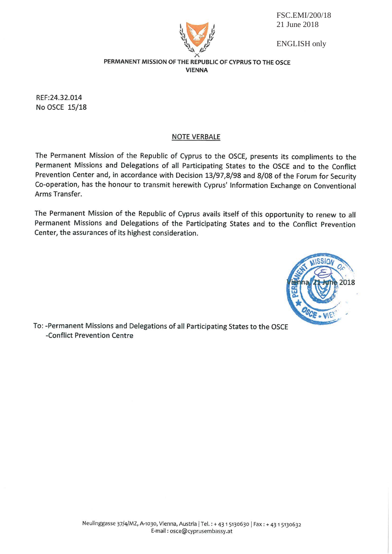FSC.EMI/200/18 21 June 2018



**ENGLISH** only

## PERMANENT MISSION OF THE REPUBLIC OF CYPRUS TO THE OSCE **VIENNA**

REF:24.32.014 No OSCE 15/18

## **NOTE VERBALE**

The Permanent Mission of the Republic of Cyprus to the OSCE, presents its compliments to the Permanent Missions and Delegations of all Participating States to the OSCE and to the Conflict Prevention Center and, in accordance with Decision 13/97,8/98 and 8/08 of the Forum for Security Co-operation, has the honour to transmit herewith Cyprus' Information Exchange on Conventional Arms Transfer.

The Permanent Mission of the Republic of Cyprus avails itself of this opportunity to renew to all Permanent Missions and Delegations of the Participating States and to the Conflict Prevention Center, the assurances of its highest consideration.



To: -Permanent Missions and Delegations of all Participating States to the OSCE -Conflict Prevention Centre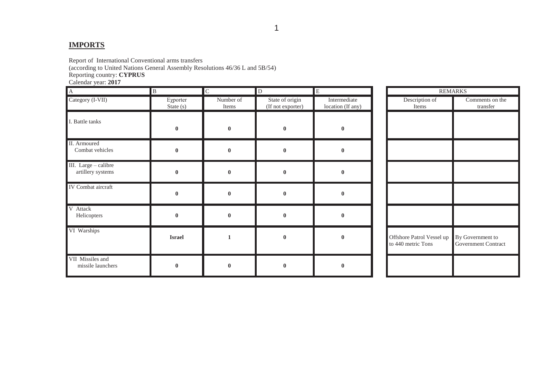## **IMPORTS**

Report of International Conventional arms transfers

(according to United Nations General Assembly Resolutions 46/36 L and 5B/54)

Reporting country: **CYPRUS**

Calendar year: **2017**

| A                                         | $\blacksquare$          | ${\bf C}$          | $\mathbf{D}$                         | E                                 | <b>REMARKS</b>                                  |                                         |  |
|-------------------------------------------|-------------------------|--------------------|--------------------------------------|-----------------------------------|-------------------------------------------------|-----------------------------------------|--|
| Category (I-VII)                          | Exporter<br>State $(s)$ | Number of<br>Items | State of origin<br>(If not exporter) | Intermediate<br>location (If any) | Description of<br>Items                         | Comments on the<br>transfer             |  |
| I. Battle tanks                           | $\pmb{0}$               | $\bf{0}$           | $\boldsymbol{0}$                     | $\bf{0}$                          |                                                 |                                         |  |
| II. Armoured<br>Combat vehicles           | $\pmb{0}$               | $\bf{0}$           | $\bf{0}$                             | $\bf{0}$                          |                                                 |                                         |  |
| III. Large - calibre<br>artillery systems | $\bf{0}$                | $\bf{0}$           | $\bf{0}$                             | $\mathbf{0}$                      |                                                 |                                         |  |
| IV Combat aircraft                        | $\pmb{0}$               | $\bf{0}$           | $\bf{0}$                             | $\bf{0}$                          |                                                 |                                         |  |
| V Attack<br>Helicopters                   | $\bf{0}$                | $\bf{0}$           | $\bf{0}$                             | $\pmb{0}$                         |                                                 |                                         |  |
| VI Warships                               | <b>Israel</b>           |                    | $\mathbf{0}$                         | $\bf{0}$                          | Offshore Patrol Vessel up<br>to 440 metric Tons | By Government to<br>Government Contract |  |
| VII Missiles and<br>missile launchers     | $\pmb{0}$               | $\bf{0}$           | $\bf{0}$                             | $\bf{0}$                          |                                                 |                                         |  |